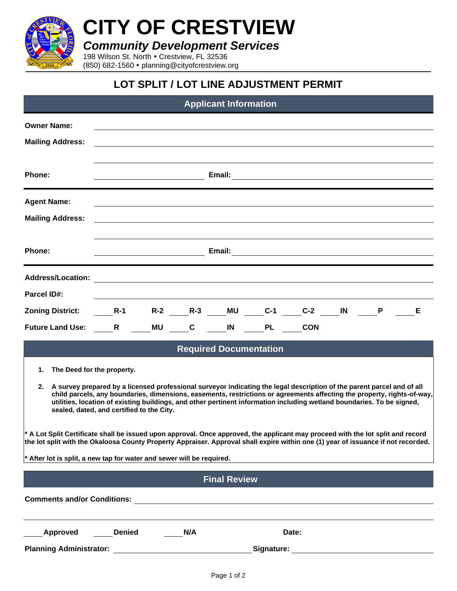

**CITY OF CRESTVIEW**

*Community Development Services*

198 Wilson St. North . Crestview, FL 32536 (850) 682-1560 planning@cityofcrestview.org

## **LOT SPLIT / LOT LINE ADJUSTMENT PERMIT**

| <b>Applicant Information</b>                                                                                                                                                                                                                                                                                                                                                                                                                                    |               |                                                                                                                      |                    |           |           |            |    |   |   |  |
|-----------------------------------------------------------------------------------------------------------------------------------------------------------------------------------------------------------------------------------------------------------------------------------------------------------------------------------------------------------------------------------------------------------------------------------------------------------------|---------------|----------------------------------------------------------------------------------------------------------------------|--------------------|-----------|-----------|------------|----|---|---|--|
| <b>Owner Name:</b><br><b>Mailing Address:</b>                                                                                                                                                                                                                                                                                                                                                                                                                   |               |                                                                                                                      |                    |           |           |            |    |   |   |  |
| Phone:                                                                                                                                                                                                                                                                                                                                                                                                                                                          |               |                                                                                                                      |                    |           |           |            |    |   |   |  |
| <b>Agent Name:</b><br><b>Mailing Address:</b>                                                                                                                                                                                                                                                                                                                                                                                                                   |               |                                                                                                                      |                    |           |           |            |    |   |   |  |
| Phone:                                                                                                                                                                                                                                                                                                                                                                                                                                                          |               |                                                                                                                      |                    |           |           |            |    |   |   |  |
| <b>Address/Location:</b><br><b>Parcel ID#:</b>                                                                                                                                                                                                                                                                                                                                                                                                                  |               |                                                                                                                      |                    |           |           |            |    |   |   |  |
| <b>Zoning District:</b>                                                                                                                                                                                                                                                                                                                                                                                                                                         | $R-1$         | R-2 R-3                                                                                                              |                    | <b>MU</b> | $C-1$     | $C-2$      | IN | P | Е |  |
| <b>Future Land Use:</b>                                                                                                                                                                                                                                                                                                                                                                                                                                         | R             | <b>MU</b>                                                                                                            | $\mathbf{C}$<br>IN |           | <b>PL</b> | <b>CON</b> |    |   |   |  |
| <b>Required Documentation</b>                                                                                                                                                                                                                                                                                                                                                                                                                                   |               |                                                                                                                      |                    |           |           |            |    |   |   |  |
| The Deed for the property.<br>1.<br>2. A survey prepared by a licensed professional surveyor indicating the legal description of the parent parcel and of all<br>child parcels, any boundaries, dimensions, easements, restrictions or agreements affecting the property, rights-of-way,<br>utilities, location of existing buildings, and other pertinent information including wetland boundaries. To be signed,<br>sealed, dated, and certified to the City. |               |                                                                                                                      |                    |           |           |            |    |   |   |  |
| * A Lot Split Certificate shall be issued upon approval. Once approved, the applicant may proceed with the lot split and record<br>the lot split with the Okaloosa County Property Appraiser. Approval shall expire within one (1) year of issuance if not recorded.<br>* After lot is split, a new tap for water and sewer will be required.                                                                                                                   |               |                                                                                                                      |                    |           |           |            |    |   |   |  |
|                                                                                                                                                                                                                                                                                                                                                                                                                                                                 |               |                                                                                                                      |                    |           |           |            |    |   |   |  |
| <b>Final Review</b>                                                                                                                                                                                                                                                                                                                                                                                                                                             |               |                                                                                                                      |                    |           |           |            |    |   |   |  |
| <b>Comments and/or Conditions:</b>                                                                                                                                                                                                                                                                                                                                                                                                                              |               | <u> 1980 - Jan Stein Stein Stein Stein Stein Stein Stein Stein Stein Stein Stein Stein Stein Stein Stein Stein S</u> |                    |           |           |            |    |   |   |  |
| Approved                                                                                                                                                                                                                                                                                                                                                                                                                                                        | <b>Denied</b> | N/A                                                                                                                  |                    |           | Date:     |            |    |   |   |  |
| <b>Planning Administrator:</b>                                                                                                                                                                                                                                                                                                                                                                                                                                  |               | Signature:                                                                                                           |                    |           |           |            |    |   |   |  |